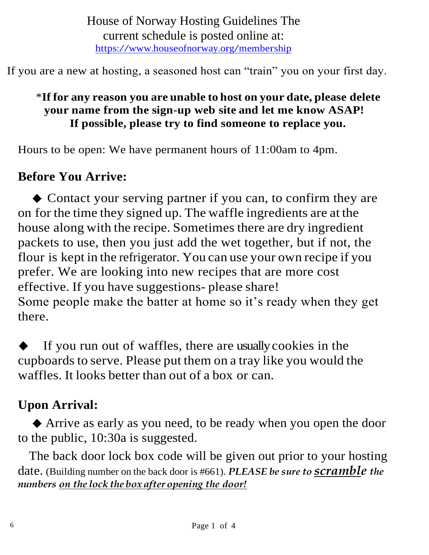House of Norway Hosting Guidelines The current schedule is posted online at: <https://www.houseofnorway.org/membership>

If you are a new at hosting, a seasoned host can "train" you on your first day.

#### \***If for any reason you are unable to host on your date, please delete your name from the sign-up web site and let me know ASAP! If possible, please try to find someone to replace you.**

Hours to be open: We have permanent hours of 11:00am to 4pm.

## **Before You Arrive:**

 Contact your serving partner if you can, to confirm they are on for the time they signed up. The waffle ingredients are at the house along with the recipe. Sometimes there are dry ingredient packets to use, then you just add the wet together, but if not, the flour is kept in the refrigerator. You can use your own recipe if you prefer. We are looking into new recipes that are more cost effective. If you have suggestions- please share! Some people make the batter at home so it's ready when they get there.

If you run out of waffles, there are usually cookies in the cupboards to serve. Please put them on a tray like you would the waffles. It looks better than out of a box or can.

# **Upon Arrival:**

 Arrive as early as you need, to be ready when you open the door to the public, 10:30a is suggested.

The back door lock box code will be given out prior to your hosting date. (Building number on the back door is #661). *PLEASE be sure to scramble the numbers on the lock the box after opening the door!*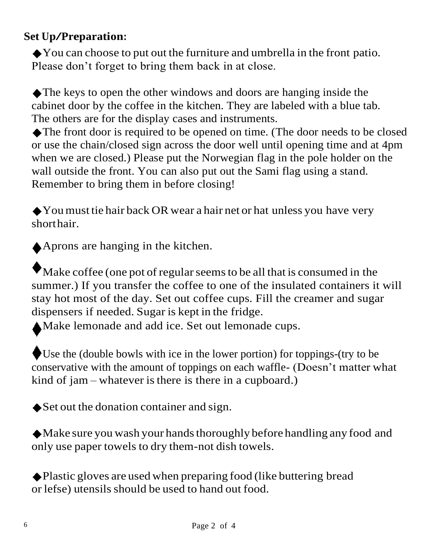### **Set Up/Preparation:**

You can choose to put out the furniture and umbrella in the front patio. Please don't forget to bring them back in at close.

The keys to open the other windows and doors are hanging inside the cabinet door by the coffee in the kitchen. They are labeled with a blue tab. The others are for the display cases and instruments.

The front door is required to be opened on time. (The door needs to be closed or use the chain/closed sign across the door well until opening time and at 4pm when we are closed.) Please put the Norwegian flag in the pole holder on the wall outside the front. You can also put out the Sami flag using a stand. Remember to bring them in before closing!

You must tie hair back OR wear a hair net or hat unless you have very shorthair.

Aprons are hanging in the kitchen.

Make coffee (one pot of regular seems to be all that is consumed in the summer.) If you transfer the coffee to one of the insulated containers it will stay hot most of the day. Set out coffee cups. Fill the creamer and sugar dispensers if needed. Sugar is kept in the fridge.

Make lemonade and add ice. Set out lemonade cups.

Use the (double bowls with ice in the lower portion) for toppings-(try to be conservative with the amount of toppings on each waffle- (Doesn't matter what kind of  $jam$  – whatever is there is there in a cupboard.)

Set out the donation container and sign.

Make sure you wash your handsthoroughly before handling any food and only use paper towels to dry them-not dish towels.

Plastic gloves are used when preparing food (like buttering bread or lefse) utensils should be used to hand out food.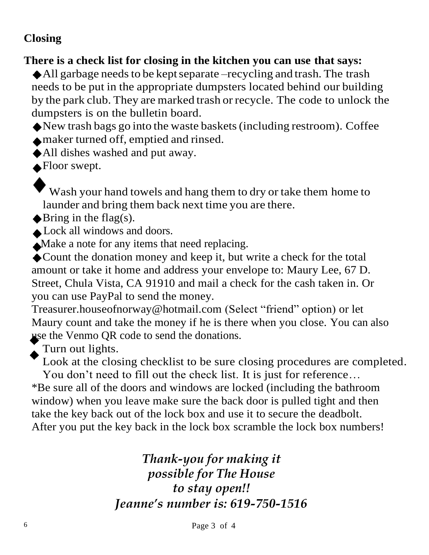#### **Closing**

#### **There is a check list for closing in the kitchen you can use that says:**

 $\triangle$ All garbage needs to be kept separate –recycling and trash. The trash needs to be put in the appropriate dumpsters located behind our building by the park club. They are marked trash or recycle. The code to unlock the dumpsters is on the bulletin board.

 $\blacklozenge$  New trash bags go into the waste baskets (including restroom). Coffee maker turned off, emptied and rinsed.

All dishes washed and put away.

**A**Floor swept.

Wash your hand towels and hang them to dry or take them home to launder and bring them back next time you are there.

 $\blacklozenge$ Bring in the flag(s).

Lock all windows and doors.

Make a note for any items that need replacing.

Count the donation money and keep it, but write a check for the total amount or take it home and address your envelope to: Maury Lee, 67 D. Street, Chula Vista, CA 91910 and mail a check for the cash taken in. Or you can use PayPal to send the money.

[Treasurer.houseofnorway@hotmail.com](mailto:Treasurer.houseofnorway@hotmail.com) (Select "friend" option) or let Maury count and take the money if he is there when you close. You can also use the Venmo QR code to send the donations.

Turn out lights.

Look at the closing checklist to be sure closing procedures are completed.

You don't need to fill out the check list. It is just for reference… \*Be sure all of the doors and windows are locked (including the bathroom window) when you leave make sure the back door is pulled tight and then take the key back out of the lock box and use it to secure the deadbolt. After you put the key back in the lock box scramble the lock box numbers!

> *Thank-you for making it possible for The House to stay open!! Jeanne's number is: 619-750-1516*